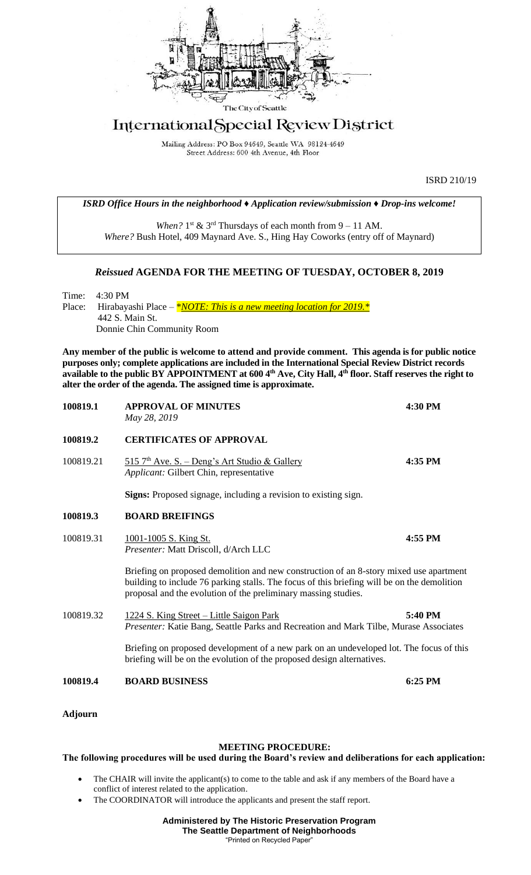

## International Special Review District

Mailing Address: PO Box 94649, Seattle WA 98124-4649 Street Address: 600 4th Avenue, 4th Floor

ISRD 210/19

*ISRD Office Hours in the neighborhood ♦ Application review/submission ♦ Drop-ins welcome!*

When?  $1<sup>st</sup>$  &  $3<sup>rd</sup>$  Thursdays of each month from  $9 - 11$  AM. *Where?* Bush Hotel, 409 Maynard Ave. S., Hing Hay Coworks (entry off of Maynard)

## *Reissued* **AGENDA FOR THE MEETING OF TUESDAY, OCTOBER 8, 2019**

Time: 4:30 PM Place: Hirabayashi Place – *\*NOTE: This is a new meeting location for 2019.* \* 442 S. Main St. Donnie Chin Community Room

**Any member of the public is welcome to attend and provide comment. This agenda is for public notice purposes only; complete applications are included in the International Special Review District records available to the public BY APPOINTMENT at 600 4th Ave, City Hall, 4th floor. Staff reserves the right to alter the order of the agenda. The assigned time is approximate.** 

| 100819.1       | <b>APPROVAL OF MINUTES</b><br>May 28, 2019                                                                                                                                                                                                              | 4:30 PM |
|----------------|---------------------------------------------------------------------------------------------------------------------------------------------------------------------------------------------------------------------------------------------------------|---------|
| 100819.2       | <b>CERTIFICATES OF APPROVAL</b>                                                                                                                                                                                                                         |         |
| 100819.21      | $515$ 7 <sup>th</sup> Ave. S. – Deng's Art Studio & Gallery<br>Applicant: Gilbert Chin, representative                                                                                                                                                  | 4:35 PM |
|                | Signs: Proposed signage, including a revision to existing sign.                                                                                                                                                                                         |         |
| 100819.3       | <b>BOARD BREIFINGS</b>                                                                                                                                                                                                                                  |         |
| 100819.31      | <u>1001-1005 S. King St.</u><br>Presenter: Matt Driscoll, d/Arch LLC                                                                                                                                                                                    | 4:55 PM |
|                | Briefing on proposed demolition and new construction of an 8-story mixed use apartment<br>building to include 76 parking stalls. The focus of this briefing will be on the demolition<br>proposal and the evolution of the preliminary massing studies. |         |
| 100819.32      | 1224 S. King Street - Little Saigon Park<br>Presenter: Katie Bang, Seattle Parks and Recreation and Mark Tilbe, Murase Associates                                                                                                                       | 5:40 PM |
|                | Briefing on proposed development of a new park on an undeveloped lot. The focus of this<br>briefing will be on the evolution of the proposed design alternatives.                                                                                       |         |
| 100819.4       | <b>BOARD BUSINESS</b>                                                                                                                                                                                                                                   | 6:25 PM |
| <b>Adjourn</b> |                                                                                                                                                                                                                                                         |         |

## **MEETING PROCEDURE:**

## **The following procedures will be used during the Board's review and deliberations for each application:**

- The CHAIR will invite the applicant(s) to come to the table and ask if any members of the Board have a conflict of interest related to the application.
- The COORDINATOR will introduce the applicants and present the staff report.